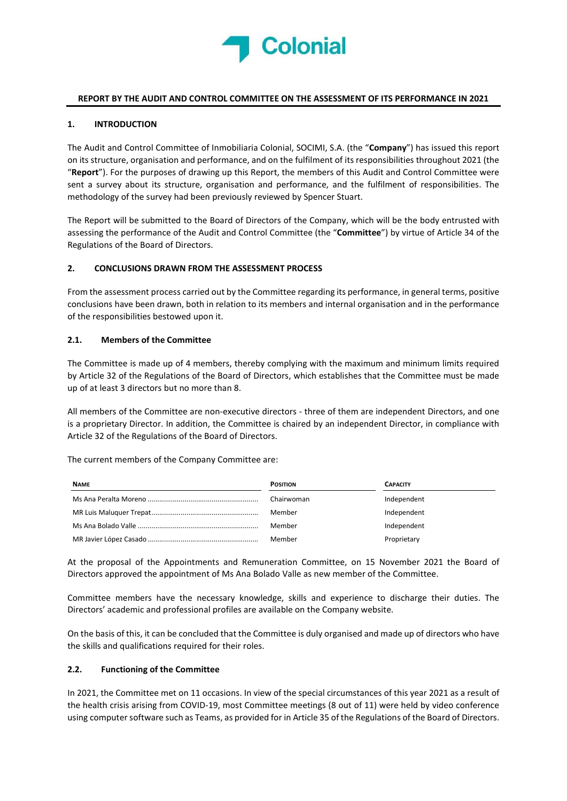

#### REPORT BY THE AUDIT AND CONTROL COMMITTEE ON THE ASSESSMENT OF ITS PERFORMANCE IN 2021

### 1. INTRODUCTION

The Audit and Control Committee of Inmobiliaria Colonial, SOCIMI, S.A. (the "Company") has issued this report on its structure, organisation and performance, and on the fulfilment of its responsibilities throughout 2021 (the "Report"). For the purposes of drawing up this Report, the members of this Audit and Control Committee were sent a survey about its structure, organisation and performance, and the fulfilment of responsibilities. The methodology of the survey had been previously reviewed by Spencer Stuart.

The Report will be submitted to the Board of Directors of the Company, which will be the body entrusted with assessing the performance of the Audit and Control Committee (the "Committee") by virtue of Article 34 of the Regulations of the Board of Directors.

#### 2. CONCLUSIONS DRAWN FROM THE ASSESSMENT PROCESS

From the assessment process carried out by the Committee regarding its performance, in general terms, positive conclusions have been drawn, both in relation to its members and internal organisation and in the performance of the responsibilities bestowed upon it.

#### 2.1. Members of the Committee

The Committee is made up of 4 members, thereby complying with the maximum and minimum limits required by Article 32 of the Regulations of the Board of Directors, which establishes that the Committee must be made up of at least 3 directors but no more than 8.

All members of the Committee are non-executive directors - three of them are independent Directors, and one is a proprietary Director. In addition, the Committee is chaired by an independent Director, in compliance with Article 32 of the Regulations of the Board of Directors.

The current members of the Company Committee are:

| <b>NAME</b> | <b>POSITION</b> | <b>CAPACITY</b> |
|-------------|-----------------|-----------------|
|             | Chairwoman      | Independent     |
|             | Member          | Independent     |
|             | Member          | Independent     |
|             | Member          | Proprietary     |

At the proposal of the Appointments and Remuneration Committee, on 15 November 2021 the Board of Directors approved the appointment of Ms Ana Bolado Valle as new member of the Committee.

Committee members have the necessary knowledge, skills and experience to discharge their duties. The Directors' academic and professional profiles are available on the Company website.

On the basis of this, it can be concluded that the Committee is duly organised and made up of directors who have the skills and qualifications required for their roles.

#### 2.2. Functioning of the Committee

In 2021, the Committee met on 11 occasions. In view of the special circumstances of this year 2021 as a result of the health crisis arising from COVID-19, most Committee meetings (8 out of 11) were held by video conference using computer software such as Teams, as provided for in Article 35 of the Regulations of the Board of Directors.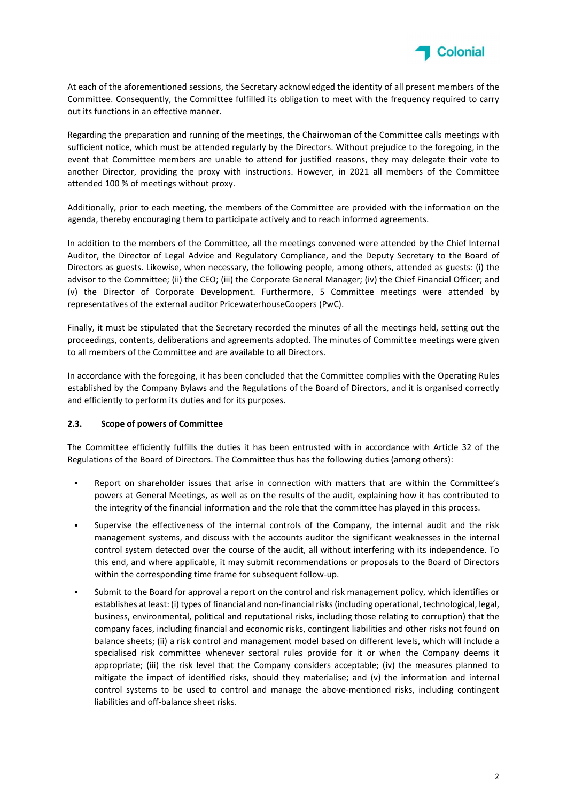

At each of the aforementioned sessions, the Secretary acknowledged the identity of all present members of the Committee. Consequently, the Committee fulfilled its obligation to meet with the frequency required to carry out its functions in an effective manner.

Regarding the preparation and running of the meetings, the Chairwoman of the Committee calls meetings with sufficient notice, which must be attended regularly by the Directors. Without prejudice to the foregoing, in the event that Committee members are unable to attend for justified reasons, they may delegate their vote to another Director, providing the proxy with instructions. However, in 2021 all members of the Committee attended 100 % of meetings without proxy.

Additionally, prior to each meeting, the members of the Committee are provided with the information on the agenda, thereby encouraging them to participate actively and to reach informed agreements.

In addition to the members of the Committee, all the meetings convened were attended by the Chief Internal Auditor, the Director of Legal Advice and Regulatory Compliance, and the Deputy Secretary to the Board of Directors as guests. Likewise, when necessary, the following people, among others, attended as guests: (i) the advisor to the Committee; (ii) the CEO; (iii) the Corporate General Manager; (iv) the Chief Financial Officer; and (v) the Director of Corporate Development. Furthermore, 5 Committee meetings were attended by representatives of the external auditor PricewaterhouseCoopers (PwC).

Finally, it must be stipulated that the Secretary recorded the minutes of all the meetings held, setting out the proceedings, contents, deliberations and agreements adopted. The minutes of Committee meetings were given to all members of the Committee and are available to all Directors.

In accordance with the foregoing, it has been concluded that the Committee complies with the Operating Rules established by the Company Bylaws and the Regulations of the Board of Directors, and it is organised correctly and efficiently to perform its duties and for its purposes.

#### 2.3. Scope of powers of Committee

The Committee efficiently fulfills the duties it has been entrusted with in accordance with Article 32 of the Regulations of the Board of Directors. The Committee thus has the following duties (among others):

- Report on shareholder issues that arise in connection with matters that are within the Committee's powers at General Meetings, as well as on the results of the audit, explaining how it has contributed to the integrity of the financial information and the role that the committee has played in this process.
- Supervise the effectiveness of the internal controls of the Company, the internal audit and the risk management systems, and discuss with the accounts auditor the significant weaknesses in the internal control system detected over the course of the audit, all without interfering with its independence. To this end, and where applicable, it may submit recommendations or proposals to the Board of Directors within the corresponding time frame for subsequent follow-up.
- Submit to the Board for approval a report on the control and risk management policy, which identifies or establishes at least: (i) types of financial and non-financial risks (including operational, technological, legal, business, environmental, political and reputational risks, including those relating to corruption) that the company faces, including financial and economic risks, contingent liabilities and other risks not found on balance sheets; (ii) a risk control and management model based on different levels, which will include a specialised risk committee whenever sectoral rules provide for it or when the Company deems it appropriate; (iii) the risk level that the Company considers acceptable; (iv) the measures planned to mitigate the impact of identified risks, should they materialise; and (v) the information and internal control systems to be used to control and manage the above-mentioned risks, including contingent liabilities and off-balance sheet risks.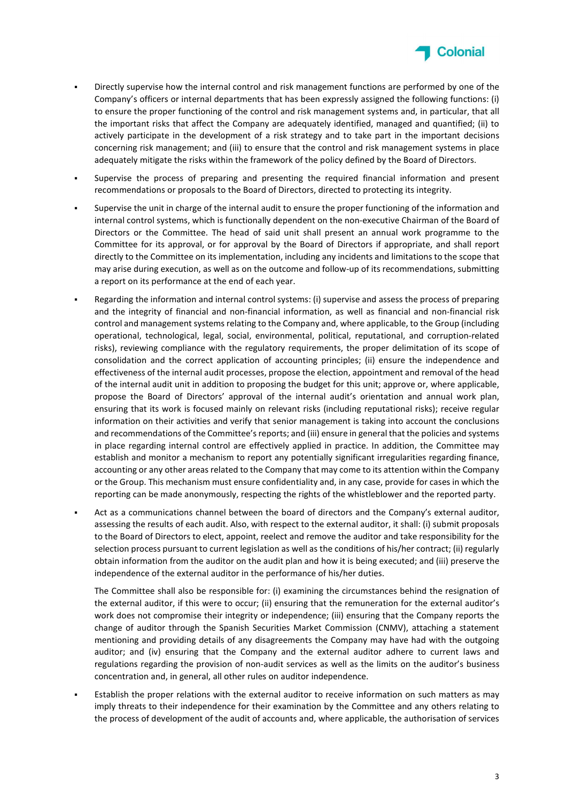

- Directly supervise how the internal control and risk management functions are performed by one of the Company's officers or internal departments that has been expressly assigned the following functions: (i) to ensure the proper functioning of the control and risk management systems and, in particular, that all the important risks that affect the Company are adequately identified, managed and quantified; (ii) to actively participate in the development of a risk strategy and to take part in the important decisions concerning risk management; and (iii) to ensure that the control and risk management systems in place adequately mitigate the risks within the framework of the policy defined by the Board of Directors.
- Supervise the process of preparing and presenting the required financial information and present recommendations or proposals to the Board of Directors, directed to protecting its integrity.
- Supervise the unit in charge of the internal audit to ensure the proper functioning of the information and internal control systems, which is functionally dependent on the non-executive Chairman of the Board of Directors or the Committee. The head of said unit shall present an annual work programme to the Committee for its approval, or for approval by the Board of Directors if appropriate, and shall report directly to the Committee on its implementation, including any incidents and limitations to the scope that may arise during execution, as well as on the outcome and follow-up of its recommendations, submitting a report on its performance at the end of each year.
- Regarding the information and internal control systems: (i) supervise and assess the process of preparing and the integrity of financial and non-financial information, as well as financial and non-financial risk control and management systems relating to the Company and, where applicable, to the Group (including operational, technological, legal, social, environmental, political, reputational, and corruption-related risks), reviewing compliance with the regulatory requirements, the proper delimitation of its scope of consolidation and the correct application of accounting principles; (ii) ensure the independence and effectiveness of the internal audit processes, propose the election, appointment and removal of the head of the internal audit unit in addition to proposing the budget for this unit; approve or, where applicable, propose the Board of Directors' approval of the internal audit's orientation and annual work plan, ensuring that its work is focused mainly on relevant risks (including reputational risks); receive regular information on their activities and verify that senior management is taking into account the conclusions and recommendations of the Committee's reports; and (iii) ensure in general that the policies and systems in place regarding internal control are effectively applied in practice. In addition, the Committee may establish and monitor a mechanism to report any potentially significant irregularities regarding finance, accounting or any other areas related to the Company that may come to its attention within the Company or the Group. This mechanism must ensure confidentiality and, in any case, provide for cases in which the reporting can be made anonymously, respecting the rights of the whistleblower and the reported party.
- Act as a communications channel between the board of directors and the Company's external auditor, assessing the results of each audit. Also, with respect to the external auditor, it shall: (i) submit proposals to the Board of Directors to elect, appoint, reelect and remove the auditor and take responsibility for the selection process pursuant to current legislation as well as the conditions of his/her contract; (ii) regularly obtain information from the auditor on the audit plan and how it is being executed; and (iii) preserve the independence of the external auditor in the performance of his/her duties.

The Committee shall also be responsible for: (i) examining the circumstances behind the resignation of the external auditor, if this were to occur; (ii) ensuring that the remuneration for the external auditor's work does not compromise their integrity or independence; (iii) ensuring that the Company reports the change of auditor through the Spanish Securities Market Commission (CNMV), attaching a statement mentioning and providing details of any disagreements the Company may have had with the outgoing auditor; and (iv) ensuring that the Company and the external auditor adhere to current laws and regulations regarding the provision of non-audit services as well as the limits on the auditor's business concentration and, in general, all other rules on auditor independence.

 Establish the proper relations with the external auditor to receive information on such matters as may imply threats to their independence for their examination by the Committee and any others relating to the process of development of the audit of accounts and, where applicable, the authorisation of services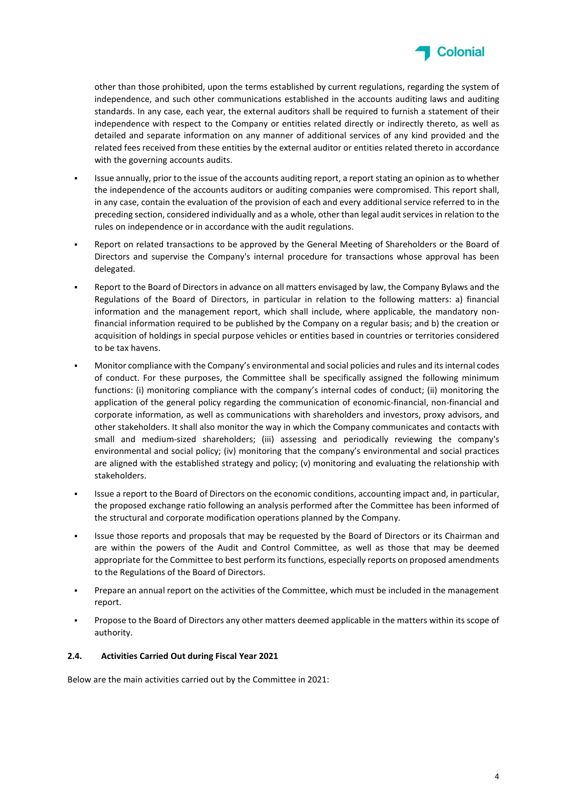

other than those prohibited, upon the terms established by current regulations, regarding the system of independence, and such other communications established in the accounts auditing laws and auditing standards. In any case, each year, the external auditors shall be required to furnish a statement of their independence with respect to the Company or entities related directly or indirectly thereto, as well as detailed and separate information on any manner of additional services of any kind provided and the related fees received from these entities by the external auditor or entities related thereto in accordance with the governing accounts audits.

- Issue annually, prior to the issue of the accounts auditing report, a report stating an opinion as to whether the independence of the accounts auditors or auditing companies were compromised. This report shall, in any case, contain the evaluation of the provision of each and every additional service referred to in the preceding section, considered individually and as a whole, other than legal audit services in relation to the rules on independence or in accordance with the audit regulations.
- Report on related transactions to be approved by the General Meeting of Shareholders or the Board of Directors and supervise the Company's internal procedure for transactions whose approval has been delegated.
- Report to the Board of Directors in advance on all matters envisaged by law, the Company Bylaws and the Regulations of the Board of Directors, in particular in relation to the following matters: a) financial information and the management report, which shall include, where applicable, the mandatory nonfinancial information required to be published by the Company on a regular basis; and b) the creation or acquisition of holdings in special purpose vehicles or entities based in countries or territories considered to be tax havens.
- Monitor compliance with the Company's environmental and social policies and rules and its internal codes of conduct. For these purposes, the Committee shall be specifically assigned the following minimum functions: (i) monitoring compliance with the company's internal codes of conduct; (ii) monitoring the application of the general policy regarding the communication of economic-financial, non-financial and corporate information, as well as communications with shareholders and investors, proxy advisors, and other stakeholders. It shall also monitor the way in which the Company communicates and contacts with small and medium-sized shareholders; (iii) assessing and periodically reviewing the company's environmental and social policy; (iv) monitoring that the company's environmental and social practices are aligned with the established strategy and policy; (v) monitoring and evaluating the relationship with stakeholders.
- Issue a report to the Board of Directors on the economic conditions, accounting impact and, in particular, the proposed exchange ratio following an analysis performed after the Committee has been informed of the structural and corporate modification operations planned by the Company.
- Issue those reports and proposals that may be requested by the Board of Directors or its Chairman and are within the powers of the Audit and Control Committee, as well as those that may be deemed appropriate for the Committee to best perform its functions, especially reports on proposed amendments to the Regulations of the Board of Directors.
- Prepare an annual report on the activities of the Committee, which must be included in the management report.
- Propose to the Board of Directors any other matters deemed applicable in the matters within its scope of authority.

# 2.4. Activities Carried Out during Fiscal Year 2021

Below are the main activities carried out by the Committee in 2021: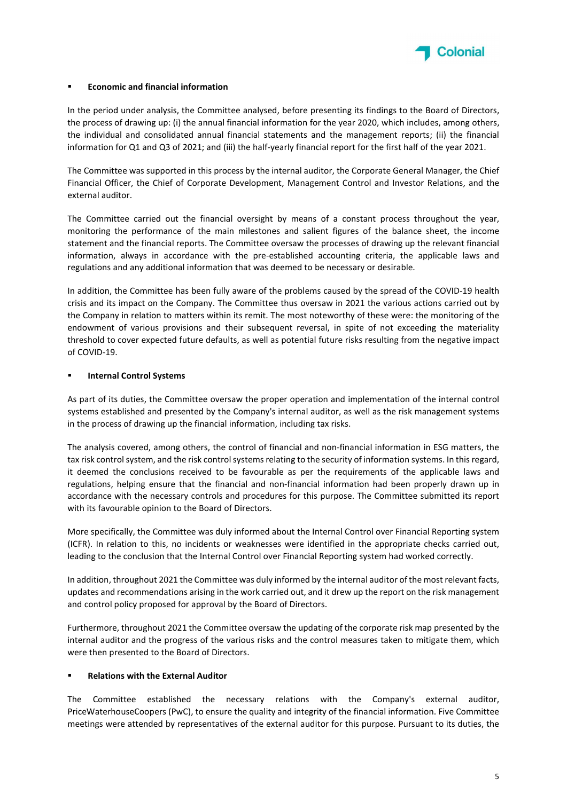

#### Economic and financial information

In the period under analysis, the Committee analysed, before presenting its findings to the Board of Directors, the process of drawing up: (i) the annual financial information for the year 2020, which includes, among others, the individual and consolidated annual financial statements and the management reports; (ii) the financial information for Q1 and Q3 of 2021; and (iii) the half-yearly financial report for the first half of the year 2021.

The Committee was supported in this process by the internal auditor, the Corporate General Manager, the Chief Financial Officer, the Chief of Corporate Development, Management Control and Investor Relations, and the external auditor.

The Committee carried out the financial oversight by means of a constant process throughout the year, monitoring the performance of the main milestones and salient figures of the balance sheet, the income statement and the financial reports. The Committee oversaw the processes of drawing up the relevant financial information, always in accordance with the pre-established accounting criteria, the applicable laws and regulations and any additional information that was deemed to be necessary or desirable.

In addition, the Committee has been fully aware of the problems caused by the spread of the COVID-19 health crisis and its impact on the Company. The Committee thus oversaw in 2021 the various actions carried out by the Company in relation to matters within its remit. The most noteworthy of these were: the monitoring of the endowment of various provisions and their subsequent reversal, in spite of not exceeding the materiality threshold to cover expected future defaults, as well as potential future risks resulting from the negative impact of COVID-19.

#### Internal Control Systems

As part of its duties, the Committee oversaw the proper operation and implementation of the internal control systems established and presented by the Company's internal auditor, as well as the risk management systems in the process of drawing up the financial information, including tax risks.

The analysis covered, among others, the control of financial and non-financial information in ESG matters, the tax risk control system, and the risk control systems relating to the security of information systems. In this regard, it deemed the conclusions received to be favourable as per the requirements of the applicable laws and regulations, helping ensure that the financial and non-financial information had been properly drawn up in accordance with the necessary controls and procedures for this purpose. The Committee submitted its report with its favourable opinion to the Board of Directors.

More specifically, the Committee was duly informed about the Internal Control over Financial Reporting system (ICFR). In relation to this, no incidents or weaknesses were identified in the appropriate checks carried out, leading to the conclusion that the Internal Control over Financial Reporting system had worked correctly.

In addition, throughout 2021 the Committee was duly informed by the internal auditor of the most relevant facts, updates and recommendations arising in the work carried out, and it drew up the report on the risk management and control policy proposed for approval by the Board of Directors.

Furthermore, throughout 2021 the Committee oversaw the updating of the corporate risk map presented by the internal auditor and the progress of the various risks and the control measures taken to mitigate them, which were then presented to the Board of Directors.

#### Relations with the External Auditor

The Committee established the necessary relations with the Company's external auditor, PriceWaterhouseCoopers (PwC), to ensure the quality and integrity of the financial information. Five Committee meetings were attended by representatives of the external auditor for this purpose. Pursuant to its duties, the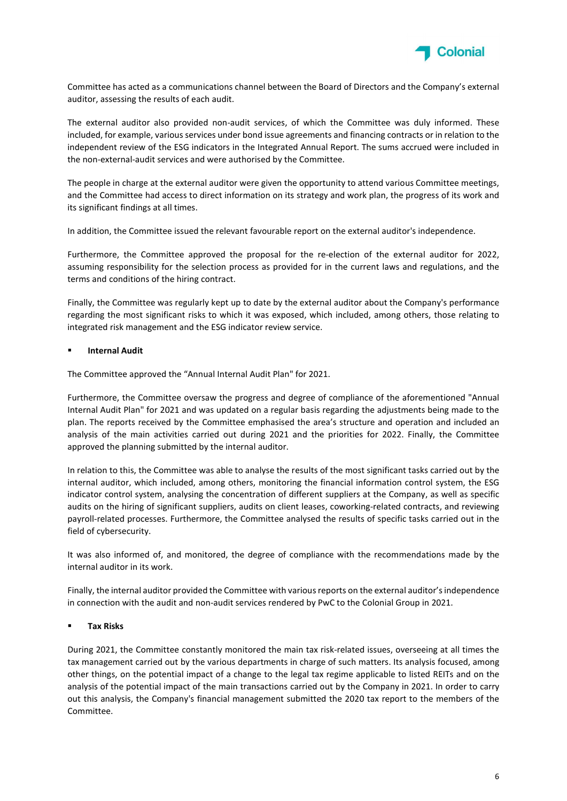

Committee has acted as a communications channel between the Board of Directors and the Company's external auditor, assessing the results of each audit.

The external auditor also provided non-audit services, of which the Committee was duly informed. These included, for example, various services under bond issue agreements and financing contracts or in relation to the independent review of the ESG indicators in the Integrated Annual Report. The sums accrued were included in the non-external-audit services and were authorised by the Committee.

The people in charge at the external auditor were given the opportunity to attend various Committee meetings, and the Committee had access to direct information on its strategy and work plan, the progress of its work and its significant findings at all times.

In addition, the Committee issued the relevant favourable report on the external auditor's independence.

Furthermore, the Committee approved the proposal for the re-election of the external auditor for 2022, assuming responsibility for the selection process as provided for in the current laws and regulations, and the terms and conditions of the hiring contract.

Finally, the Committee was regularly kept up to date by the external auditor about the Company's performance regarding the most significant risks to which it was exposed, which included, among others, those relating to integrated risk management and the ESG indicator review service.

#### Internal Audit

The Committee approved the "Annual Internal Audit Plan" for 2021.

Furthermore, the Committee oversaw the progress and degree of compliance of the aforementioned "Annual Internal Audit Plan" for 2021 and was updated on a regular basis regarding the adjustments being made to the plan. The reports received by the Committee emphasised the area's structure and operation and included an analysis of the main activities carried out during 2021 and the priorities for 2022. Finally, the Committee approved the planning submitted by the internal auditor.

In relation to this, the Committee was able to analyse the results of the most significant tasks carried out by the internal auditor, which included, among others, monitoring the financial information control system, the ESG indicator control system, analysing the concentration of different suppliers at the Company, as well as specific audits on the hiring of significant suppliers, audits on client leases, coworking-related contracts, and reviewing payroll-related processes. Furthermore, the Committee analysed the results of specific tasks carried out in the field of cybersecurity.

It was also informed of, and monitored, the degree of compliance with the recommendations made by the internal auditor in its work.

Finally, the internal auditor provided the Committee with various reports on the external auditor's independence in connection with the audit and non-audit services rendered by PwC to the Colonial Group in 2021.

#### Tax Risks

During 2021, the Committee constantly monitored the main tax risk-related issues, overseeing at all times the tax management carried out by the various departments in charge of such matters. Its analysis focused, among other things, on the potential impact of a change to the legal tax regime applicable to listed REITs and on the analysis of the potential impact of the main transactions carried out by the Company in 2021. In order to carry out this analysis, the Company's financial management submitted the 2020 tax report to the members of the Committee.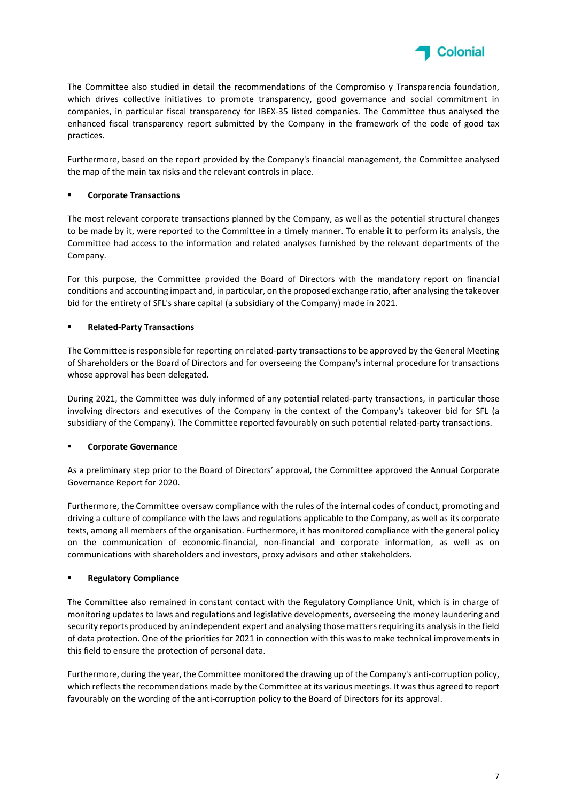

The Committee also studied in detail the recommendations of the Compromiso y Transparencia foundation, which drives collective initiatives to promote transparency, good governance and social commitment in companies, in particular fiscal transparency for IBEX-35 listed companies. The Committee thus analysed the enhanced fiscal transparency report submitted by the Company in the framework of the code of good tax practices.

Furthermore, based on the report provided by the Company's financial management, the Committee analysed the map of the main tax risks and the relevant controls in place.

## Corporate Transactions

The most relevant corporate transactions planned by the Company, as well as the potential structural changes to be made by it, were reported to the Committee in a timely manner. To enable it to perform its analysis, the Committee had access to the information and related analyses furnished by the relevant departments of the Company.

For this purpose, the Committee provided the Board of Directors with the mandatory report on financial conditions and accounting impact and, in particular, on the proposed exchange ratio, after analysing the takeover bid for the entirety of SFL's share capital (a subsidiary of the Company) made in 2021.

### Related-Party Transactions

The Committee is responsible for reporting on related-party transactions to be approved by the General Meeting of Shareholders or the Board of Directors and for overseeing the Company's internal procedure for transactions whose approval has been delegated.

During 2021, the Committee was duly informed of any potential related-party transactions, in particular those involving directors and executives of the Company in the context of the Company's takeover bid for SFL (a subsidiary of the Company). The Committee reported favourably on such potential related-party transactions.

# Corporate Governance

As a preliminary step prior to the Board of Directors' approval, the Committee approved the Annual Corporate Governance Report for 2020.

Furthermore, the Committee oversaw compliance with the rules of the internal codes of conduct, promoting and driving a culture of compliance with the laws and regulations applicable to the Company, as well as its corporate texts, among all members of the organisation. Furthermore, it has monitored compliance with the general policy on the communication of economic-financial, non-financial and corporate information, as well as on communications with shareholders and investors, proxy advisors and other stakeholders.

#### **Regulatory Compliance**

The Committee also remained in constant contact with the Regulatory Compliance Unit, which is in charge of monitoring updates to laws and regulations and legislative developments, overseeing the money laundering and security reports produced by an independent expert and analysing those matters requiring its analysis in the field of data protection. One of the priorities for 2021 in connection with this was to make technical improvements in this field to ensure the protection of personal data.

Furthermore, during the year, the Committee monitored the drawing up of the Company's anti-corruption policy, which reflects the recommendations made by the Committee at its various meetings. It was thus agreed to report favourably on the wording of the anti-corruption policy to the Board of Directors for its approval.